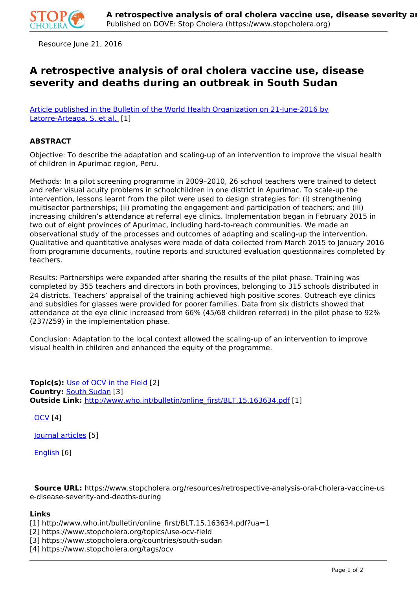

Resource June 21, 2016

## **A retrospective analysis of oral cholera vaccine use, disease severity and deaths during an outbreak in South Sudan**

[Article published in the Bulletin of the World Health Organization on 21-June-2016 by](http://www.who.int/bulletin/online_first/BLT.15.163634.pdf?ua=1) [Latorre-Arteaga, S. et al.](http://www.who.int/bulletin/online_first/BLT.15.163634.pdf?ua=1) [1]

## **ABSTRACT**

Objective: To describe the adaptation and scaling-up of an intervention to improve the visual health of children in Apurimac region, Peru.

Methods: In a pilot screening programme in 2009–2010, 26 school teachers were trained to detect and refer visual acuity problems in schoolchildren in one district in Apurimac. To scale-up the intervention, lessons learnt from the pilot were used to design strategies for: (i) strengthening multisector partnerships; (ii) promoting the engagement and participation of teachers; and (iii) increasing children's attendance at referral eye clinics. Implementation began in February 2015 in two out of eight provinces of Apurimac, including hard-to-reach communities. We made an observational study of the processes and outcomes of adapting and scaling-up the intervention. Qualitative and quantitative analyses were made of data collected from March 2015 to January 2016 from programme documents, routine reports and structured evaluation questionnaires completed by teachers.

Results: Partnerships were expanded after sharing the results of the pilot phase. Training was completed by 355 teachers and directors in both provinces, belonging to 315 schools distributed in 24 districts. Teachers' appraisal of the training achieved high positive scores. Outreach eye clinics and subsidies for glasses were provided for poorer families. Data from six districts showed that attendance at the eye clinic increased from 66% (45/68 children referred) in the pilot phase to 92% (237/259) in the implementation phase.

Conclusion: Adaptation to the local context allowed the scaling-up of an intervention to improve visual health in children and enhanced the equity of the programme.

**Topic(s):** Use of OCV in the Field [2] **Country:** South Sudan [3] **Outside Link:** http://www.who.int/bulletin/online\_first/BLT.15.163634.pdf [1]

OCV [4]

Journal articles [5]

English [6]

 **Source URL:** https://www.stopcholera.org/resources/retrospective-analysis-oral-cholera-vaccine-us e-disease-severity-and-deaths-during

## **Links**

- [1] http://www.who.int/bulletin/online\_first/BLT.15.163634.pdf?ua=1
- [2] https://www.stopcholera.org/topics/use-ocv-field
- [3] https://www.stopcholera.org/countries/south-sudan
- [4] https://www.stopcholera.org/tags/ocv